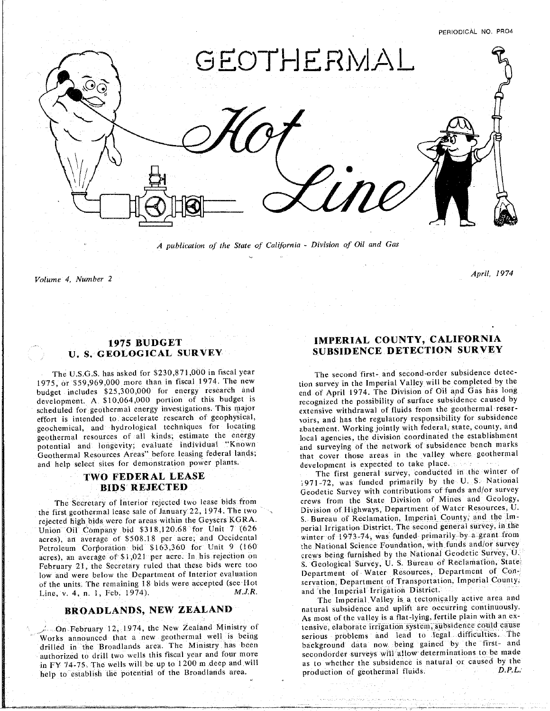PERIODICAL NO. PRO4

April, 1974



*A publication of the State of California* - *Division of Oil and Gas*

help to establish the potential of the Broadlands area. production of geothermal fluids, *D*.*P*.*L*;

*Volume 4, Number 2 April*. *1974*

# **U. S**° **GE**O**LOGICAL SU**R**VEY SUBSIDENCE DETEC**T**ION SURVEY**

The U.S.G.S. has asked for \$230,871,000 in fiscal year The second first- and second-order subsidence detec-<br>1975, or \$59,969,000 more than in fiscal 1974. The new the Imperial Valley will be completed by the budget includes \$25,300,000 for energy research and end of April 1974. The Division of Oil and Gas has long development. A \$10,064,000 portion of this budget is recognized the possibility of surface subsidence caused by scheduled for geothermal energy investigations. This major extensive withdrawal of fluids from the geothermal resereffort is intended to accelerate research of geophysical, voirs, and has the regulatory responsibility for subsidence geochemical, and hydrological techniques for locating abatement. Working jointly with federal, state county, and geochemical, and hydrological techniques for all techniques for locating the division coordinated the establishment. We division coordinated the establishment. notential and longevity: evaluate individual "Known" and surveying of the network of subsidence bench ma potential and longevity; evaluate individual "Known and surveying of the network of subsidence bench marks<br>Geothermal Resources Areas" before leasing federal lands;<br>that cover those areas in the valley where geothermal and help select sites for demonstration power plants. The development is expected to take place.

the first geothermal lease sale of January 22, 1974. The two Division of Highways, Department of Water Resources, U.<br>rejected high bids were for areas within the Gevsers KGRA. S. Bureau of Reclamation, Imperial County, and rejected high bids were for areas within the Geysers KGRA. S. Bureau of Reclamation, Imperial County, and the Im-<br>Union Oil Company bid \$318.120.68 for Unit 7 (626 for perial Irrigation District, The second general survey, Union Oil Company bid \$318,120.68 for Unit 7 (626 acres), an average of \$508.18 per acre; and Occidental winter of 1973-74, was funded primarily by a grant from Petroleum Corporation bid \$163,360 for Unit 9 (160 the National Science Foundation, with funds and/or survey **Pactual 2** (1653), an average of \$1,021 per acre. In his rejection on crews being furnished by the National Geodetic Survey, U. February 21, the Secretary ruled that these bids were too S. Geological Survey, U. S. Bureau of Reclamation, State February 21. The Secretary 21. The Separtment of Interior evaluation<br>
February 21. the secretary rules of the units. The remaining 18 bids were accepted (see Hot servation, Department of Transportation, Imperial County, of the units. The remaining 18 bids were accepted (see Hot Line, v. 4, n. 1, Feb. 1974). M.J.R. and the Imperial Irrigation District.

drilled in the Broadlands area. The Ministry has been background data now being gained by the first- and authorized to drill two wells this fiscal year and four more secondorder surveys will allow determinations to be made in FY 74-75. The wells will be up to 1200 m deep and will as to whether the subsidence is natural or caused by the m Figure 1.14-75. The wells will be up to 1200 m deep and will as to whether the subsidence is natural or cause is natural or caused by the subsidence is natural or caused by the subsidence is natural or caused by the subs

# **1975 BUDGET IMPERIAL C**O**UNTY, CAL**I**F**O**RNIA**

TWO FEDERAL LEASE The first general survey, conducted in the winter of **FEDERAL FRIENCES**<br>**BIDS REJECTED FOR ALL ALL SURFAGE GENERAL CONDUCTS** general vitations of funds and/or survey **BIDS** REJECTED<br>The Secretary of Interior rejected two lease bids from the State Division of Mines and Geology,

The Imperial Valley is a tectonically active area and natural subsidence and uplift are occurring continuously. **BROADLANDS, NEW ZEALAND** natural subsidence and uplift are occurring continuously.<br>As most of the valley is a flat-lying, fertile plain with an ex**tensive, elaborate irrigation system, subsidence could cause** ,: On February 12, 1974, the New Zealand Ministry of tensive, elaborate irrigation system, subsidence could cause<br>Works announced that a new geothermal well is being serious problems and lead to legal difficulties. The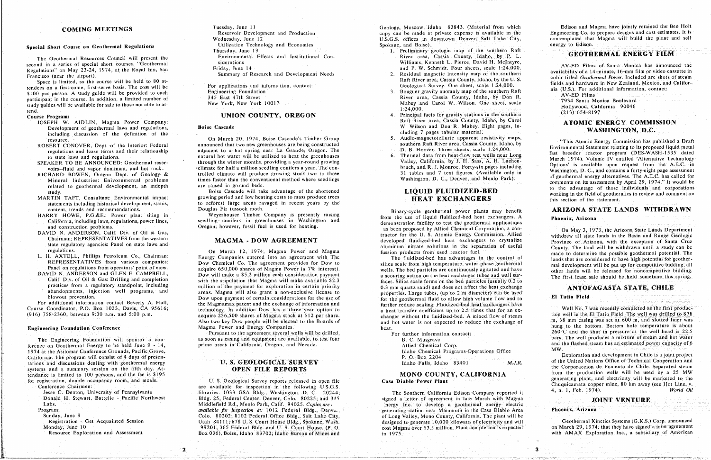The Geomernian Resources Council will present the Siderations<br>
Resources Council and Institutional Council Present intentional Present Contract and Institutional Con-<br>
Resources County, Institutional Present L. Pierce, Dav second in a series of special short courses, "Geothermal" second in the special short courses, when the Royal Inn, San<br>
Regulations on May 2. Residual magnetic intensity map of the southern<br>
Exempions on the airport) subst

Space is limited, so the course will be here the cost will be **held to 80 at-** For applications and information, contact:<br> **County County County County County County County County County Power County** s a material of the southern Raft and to s.). For add a series on a material material control of the southern Raft and to s.). For add a series on a material control of the southern Raft and to s.). For add a series of the \$100 per person. A study guide will be provided to each English State 47th Street<br>
participant in the course. In addition, a limited number of a said County, Idaho, and Carol W. Wilson. One sheet, scale and T934 Santa Moni participant in the course. In addition, a limited number of 1954 Street River and The Street River and Street River and Street River area. The Street River and Street River area. Cassia Cassia area. The Street River and St  $s_{\rm{lead}}$  guide to those not able to those not able to those not able to at-  $1:24,000$ .

- including discussion of the definition of the contract of the contract of the cluding discussion of the definition of the contract of the contract of the contract of the contract of the contract of the contract of the cont
- 
- 
- related to geothermal development, an indepth are raised in ground beds.
- content, trends and recommendations. Douglas Fir tussock moth.
- 
- DAVID N. ANDERSON, Calif. Div. of Oil & Gas,
- 
- 
- 

Ference Grounds, Pacific Grove,<br>
1974 at the Asilonal Energy to be held June 9 - 14, prime areas in *California*. The flashed steaf and *Allied Steam and development* in *Chile* is a joint project<br>
2016 and the flashed ste California. The program will consist of 4 days of presentendance is limited to 100 persons, and the fee is \$195 **FILER CORPORT THE CORPORACTLON DESCRIPT MONO COUNTY, CALIFORNIA** 

Tuesday, June 11

- 
- 

This Atomic Department of the Interior Ederal announced that two new greenhouses are being constructed southern Raft River area, Cassia County, Idaho, by This Atomic Energy Commission has published a Draft and Report of th ROBERT CONOVER, Dept. of the Interior: Federal announced that two new greenhouses are being constructed

MARTIN TAFT, Consultant: Environmental impact growing period and low heating costs to mass produce trees **HEAT EXCHANGERS** working in the field of geother statement. to reforest large areas ravaged in recent years by the

Experiment Timber However, including laws, regulations, power lines, seedling conifers in greenhouses in Washington and and construction problems.<br>
The use of light is present to the peoplemal applications of the people of

state regulations. The fund on state regulations of the laws of the county. The laws in the separations in the separation of useful and aluminum of the separation of useful *County. The land was made to determine the possi* H. AXTELL, Phillips Petroleum Co., Chairman:<br>REPRESENTATIVES from various companies: Dow Chemical Co. The agreement provides for Dow to evilles scale from high temperature water-phase geothermal lands that are considered t REPRESENTATIVES from various companies:<br>
Panel on regulations from operators' point of view.<br>
Panel on regulations from operators' point of view.<br>
Panel on regulations from operators' point of view.<br>
Reserve to the street Panel on regulations from operators' point of view.<br>
Dow will make a \$5.2 million cash consideration payment<br>
Devillence and payment and a scouring action on the heat exchanger tubes and wall sur-<br>
The first lense subscrib VID N. ANDERSON and GLEN E. CAMPBELL,<br>Calif. Div. of Oil & Gas: Drilling and completion with the stinulation that Magma will make available \$2.3 focas Silica cash form on the heat exchanger tubes and wall sur-<br>Calif. Div. Calif. Div. of Oil & Gas: Drilling and completion with the stipulation that Magma will make available \$2.3 faces. Silica scale forms on the bed particles (usually 0.2 to practices from a regulatory standpoint, including mi practices from a regulatory standpoint, including million of the payment for exploration in certain priority 0.3 mm quartz sand) and does not affect the heat exchange abandonments, injection well programs, and a reas. Magm practices from a regulatory standpoint, including<br>abandonments, injection well programs, and a reas Magma will also grant a non-exclusive license to blow the properties. Large tubes, (up to 2 m diameter) can be used<br>blowou Dow upon payment of certain considerations for the use of **the properties.** The geothermal fluid to allow high volume flow and to For additional information contact Beverly A. Hall, the Magmamax patent and the exchange of information and functions for the geodicine in the geothermal fluid to allow high volume functions in the exchange of information for a *Hall the Magmanism component at three year option to* a *heat transfer coefficient up to 2.5 times that for an ex-*(916) 758-2360, between 9:30 a.m. and 5:00 p.m. acquire 236,500 shares of Magma stock at \$12 per share. changer without the fluidized-bed. A mixed flow of steam tion well in the El Tatio Field. The well was drilled to 878 Also two key Dow people will be elected to the Boards of and hot water is not expected to reduce the exchange of m, 38 mm casing was set at 600 m, and slotted liner was

**Engineering Foundation Conference** heat.<br>Figures and Energy Companies heat. heat. heat. heat. **Pursuant to the agreement several wells will be drilled,**  $\overline{F}$ as soon as casing and equipment are available, to test four<br>
B. C. Muserave **B. C. Muserave B. C. Muserave B.** C. Muserave **B.** 2007 **Exerce B.** 2007 **Exerce B.** 2007 **Exerce B.** 2007 **EX. All in produces** a mixt

Jesse C. Denton, University of Pennsylvania **Mateural Elisabeth Elisabeth IO33 GSA** Bldg., Washington, D. C. 20244; The Southern California Edison Company reported it Re**s**o**u**rce Exp**l**oration and Assessme**n**t B**o**x 0361. Boi**s**e, **I**daho 837**0**2:IdahoBureauofM.nesand in 1975. with AMAX Exploration lnc,. a subsid**i**ary of *A*merican

Geology, Moscow, Idaho 83843. (Material from which Wednesday, June 12 **Compare and Production Conservation** Conservation contraction contraction contraction contraction contraction contraction contraction contraction contraction contraction contraction contraction contract Wednesday, June 12 U.S.C. of the Communication Technology and Economics Spokane, and Boise). The plant and selling the plant and selling that Magna will be plant and selling the plant and selling the plant and selling the

- Special Short Course on Geothermal Regulations Utilization Utilization I echnology and Economics Spokane, and Boise).<br>
Thursday, June 13<br>
Thursday, June 13<br>
Thursday, June 13<br>
Environmental Effects and Institutional Con-<br>
	-
	-
- tend.<br> **Course Program:** Course Program: (213) 654-8197<br>
Course Program: (213) 654-8197 Raft River area, Cassia County, Idaho, by Carol ATOMIC ENERGY COMMISSION Development of geothermal laws and regulations, Boise Cascade W. Wilson and Don R. Mabey. Eight pages, in-<br>Development of geothermal laws and regulations, Boise Cascade M. Wilson and Don R. Mabey. Eight pages, in-<br>MASHINGT
	-
	-

content, trends and recommendations.<br>
HARRY HOWE, P.G.&E.: Power plant siting in Meyerhouser Timber Company is presently raising from the use of liquid fluidized-bed heat exchangers. A **Phoenix, Arizona**<br>
California, inclu as been proposed by Allied Chemical Corporation, a conas been proposed by Allied Chemical Corporation, a con-<br>tractor for the U.S. Atomic Energy Commission. Allied<br>withdrew all state lands in the Basin and Range Geologic

|  | or further information contact:                                         |
|--|-------------------------------------------------------------------------|
|  | B. C. Musgrave                                                          |
|  | Allied Chemical Corp.                                                   |
|  | Idaho Chemical Programs-Operations Office                               |
|  | P. O. Box 2204<br>contract and the with the company will start the com- |
|  | M.J.<br>Idaho Falls, Idaho 83401                                        |

Donald H. Stewart, Battelle - Pacific Northwest Bldg. 25, Federal Center, Denver, Colo. 80225; and 345 signed a letter of agreement in late March with Magma JOINT VENTURE Labs. The contract of the method of the Middlefield Rd., Menlo Park, Calif. 94025. Copies are the context of the context of develop a geothermal energy electric **Program:** The case of *a copies available for inspection at*: 1012 Federal Bldg., Denve, **programes** *generating station near Mammoth in the Casa Diablo Area Forday*, June 9 2012. **and** *For a Fordal Bldg. atterational Bldg. atterational in the plant will be a ready of Long Valley, Mono County, California. The plant will be a ready of <i>Long Valley***,** *Mono County***, Calif** Registration Get Acquainted Session Utah 84111, 678 U.S. Court House Bldg., Spokane, Wash. designed to generate 10,000 kilowatts of electricity and will Registration - Get Acquainted Session Utah 84111; 678 U.S. Court House Bldg., Spokane, Wash. designed to generate 10,000 kilowatts of electricity and will Geothermal Kinetics Systems (G.K.S.) Corp. announced<br>Monday, June 1 Resource Exploration and Assessment Box 036), Boise, Idaho 83702; Idaho Bureau of Mines and Plant completion in 1975. With AMAX Exploration Inc., a subsidiary of American

translations are the companies of the companies of the companies of the states with the companies of the companies

Edison and Magma have jointly retained the Ben Holt COMING MEETINGS COMING ARE INCRESS THE SERVICE OF THE RESERVICE AND RESERVICE THE RESERVICE OF THE RESERVICE AND RESERVICE THE RESERVICE OF THE RESERVICE OF THE RESERVICE OF THE RESERVICE OF THE RESERVICE OF THE RESERVICE

Regulations" on May 23-24, 1974, at the Royal Inn, San Friday, Jule 14 and Pevelopment Needs<br>Francisco (near the airport). Summary of Research and Development Needs Residual magnetic intensity map of the southern and Power Francisco Control of Research and Development New York and Development New York and Development New York and Development New York intensity magnetic intensity of the southern available in the southern and Development New Y

RERT CONOVER, Dept. of the Interior: Federal announced that two new greenhouses are being constructed southern Raft River area, Cassia County, Idaho, by Fig. However, The Section of the Southern Raft River area, Cassia Cou regulations and regulations. The material interval is a hot water will be utilized to heat the greenhouses of thermal data from heat-flow test wells near Long has breeder reactor program (DES-WASH-1555 dated to state laws The state laws and regulations, notice is a comparison of the greenhouse through the winter months, providing a year-round growing a variable valley, California, by J. H. Sass, A. H. Lachen March 1974). Volume IV entitled voirs-fluid and vapor dominant, and hot rock.<br>Voirs-fluid and vapor dominant, and hot rock. California. California. California. By J. H. S. Monroe. Forty-six pages including the washington, D. C., and contains a forty-eigh voirt and the section of the control and the million section of Geology. A million section of Geology. A trolled climate will produce growing stock two to three 31 tables and 7 text figures. (Available only in Washington, Mineral Industries: Enivornmental problems times faster than the conventional method where seedlings Washington, D. C., Denver, and Menlo Park). The conventional comments on its assessment by April 29, 1974." It would be to the advantage of those individuals and corporations related to geometrical development, and the process of the shortened are **LIQUID FLUIDIZED-BED** to the advantage of those individuals and corporations study.

# ARIZONA STATE LANDS WITHDRAWN

Chairman; REPRESENTATIVES from the western<br>
State regulatory agencies: Panel on state laws and **MAGMA - DOW AGREEMENT** and the unique of Atizona, with the Senaration of Santa Cruz<br>
aluminum nitrate solutions in the senarat extate regulatory agencies: Panel on state laws and<br>
Represent to community and the separation of the separation of useful<br>
regulations. The land will be withdrawn until a study can be regulations.

Magna Power and Energy Companies.<br> **Also two key Down people will be expected to reduce the exchange of mung to the bottom. Bottom hole temperature is about<br>
Pursuant to the agreement several wells will be drilled. For fur** The Engineering Foundation will sponsor a con-<br>
ference on Geothermal Energy to be held June 9 - 14, prime areas in California, Oregon, and Nevada. Allied Chemical Corp. and the flashed steam has an estimated power capacit

California. The program will consist of 4 days of presen-<br>
The program will consist of 4 days of presence in Presence of Technical Cooperation and<br>
Reserve in Chile is a state of the United Nations Office of Technical Coop stations and a summary sessions dealing with geometric correction of the Corporation of the Corporation of the Corporation of the Corporation of the Corporation of the Corporation of the Corporation of the Corporation of t tendance is limited to 100 persons, and the fee is  $\frac{1}{2}$  of  $\frac{1}{2}$ . S. Geological Survey reports released in open file **Casa Diablo Power Plant** from the production of electricity will be marketed to the production Chuquicamata copper mine, 80 km away (see Hot Line, v.<br>
Conference Chairmen: are available for inspection in the following U.S. Cooperation in the following U.S. Cooperation of the conference Chairmen: 80 km away (see Hot

### Phoenix, Arizona